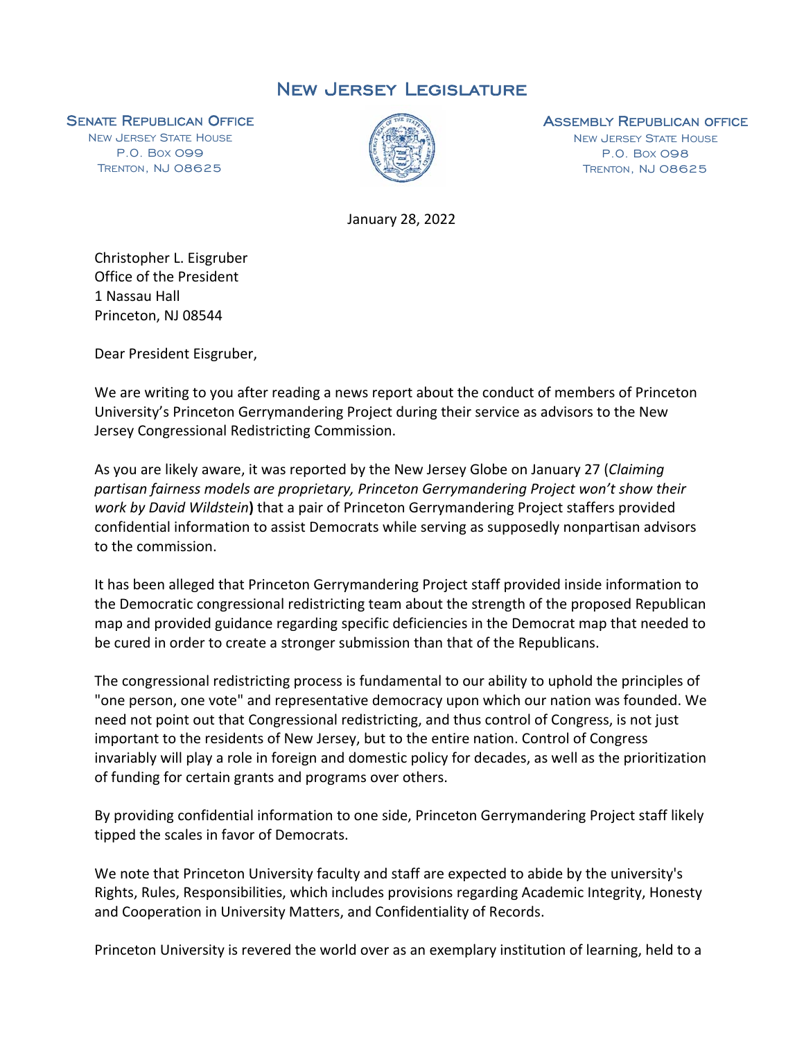## New Jersey Legislature

**SENATE REPUBLICAN OFFICE**<br>NEW JERSEY STATE HOUSE

P.O. BOX 099 TRENTON, NJ 08625



## **ASSEMBLY REPUBLICAN OFFICE**<br>NEW JERSEY STATE HOUSE

P.O. BOX 098 TRENTON, NJ 08625

January 28, 2022

Christopher L. Eisgruber Office of the President 1 Nassau Hall Princeton, NJ 08544

Dear President Eisgruber,

We are writing to you after reading a news report about the conduct of members of Princeton University's Princeton Gerrymandering Project during their service as advisors to the New Jersey Congressional Redistricting Commission.

As you are likely aware, it was reported by the New Jersey Globe on January 27 (*Claiming partisan fairness models are proprietary, Princeton Gerrymandering Project won't show their work by David Wildstein***)** that a pair of Princeton Gerrymandering Project staffers provided confidential information to assist Democrats while serving as supposedly nonpartisan advisors to the commission.

It has been alleged that Princeton Gerrymandering Project staff provided inside information to the Democratic congressional redistricting team about the strength of the proposed Republican map and provided guidance regarding specific deficiencies in the Democrat map that needed to be cured in order to create a stronger submission than that of the Republicans.

The congressional redistricting process is fundamental to our ability to uphold the principles of "one person, one vote" and representative democracy upon which our nation was founded. We need not point out that Congressional redistricting, and thus control of Congress, is not just important to the residents of New Jersey, but to the entire nation. Control of Congress invariably will play a role in foreign and domestic policy for decades, as well as the prioritization of funding for certain grants and programs over others.

By providing confidential information to one side, Princeton Gerrymandering Project staff likely tipped the scales in favor of Democrats.

We note that Princeton University faculty and staff are expected to abide by the university's Rights, Rules, Responsibilities, which includes provisions regarding Academic Integrity, Honesty and Cooperation in University Matters, and Confidentiality of Records.

Princeton University is revered the world over as an exemplary institution of learning, held to a